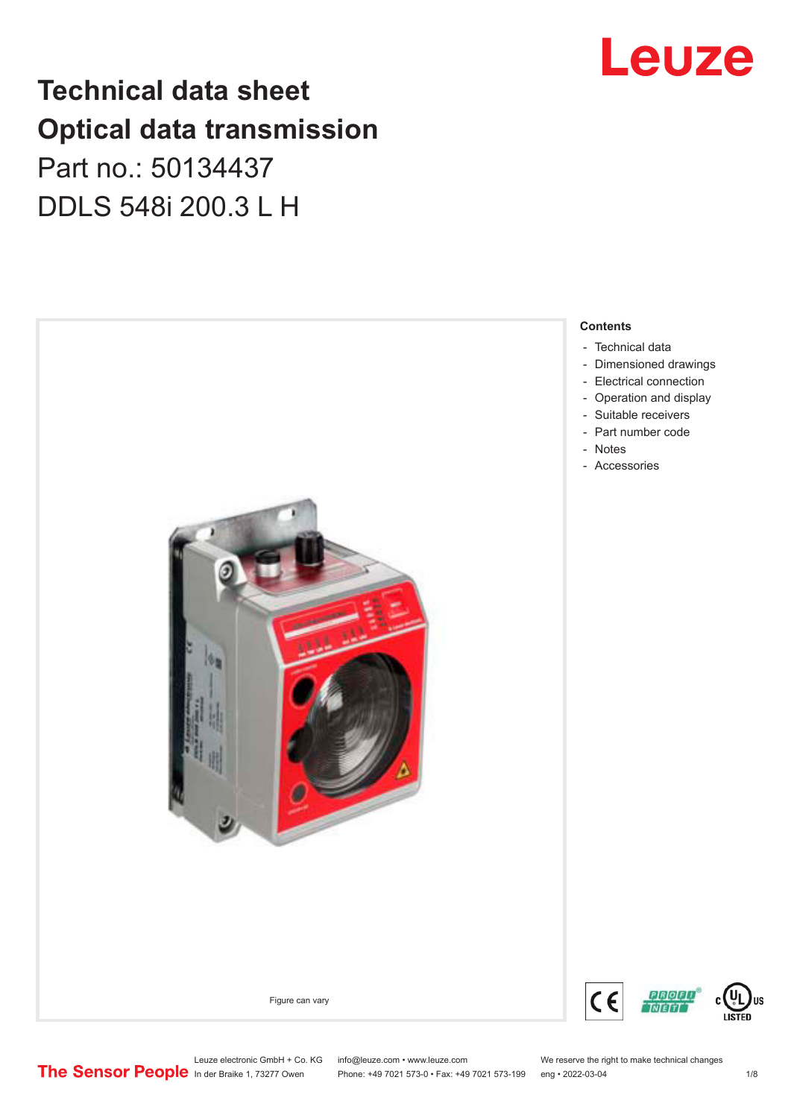## **Technical data sheet Optical data transmission**

## Part no.: 50134437 DDLS 548i 200.3 L H



## Leuze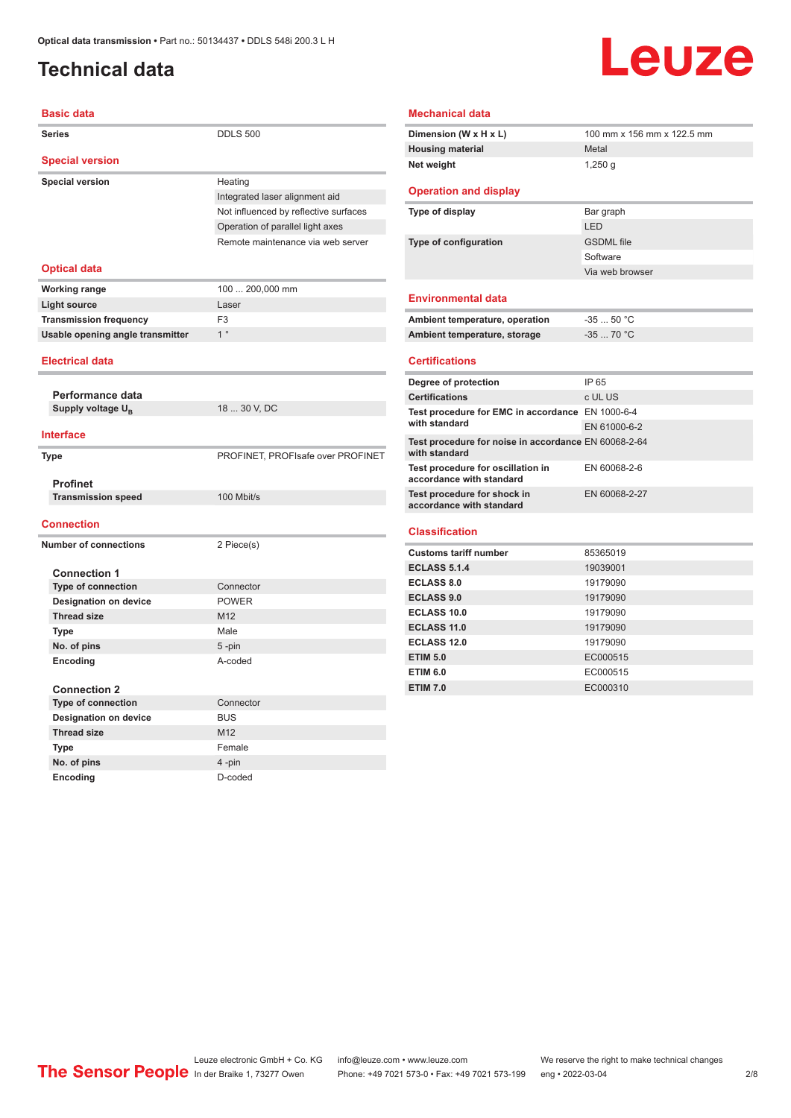## <span id="page-1-0"></span>**Technical data**

# Leuze

| <b>Basic data</b>                |                                       |  |  |
|----------------------------------|---------------------------------------|--|--|
| <b>Series</b>                    | <b>DDLS 500</b>                       |  |  |
| <b>Special version</b>           |                                       |  |  |
| <b>Special version</b>           | Heating                               |  |  |
|                                  | Integrated laser alignment aid        |  |  |
|                                  | Not influenced by reflective surfaces |  |  |
|                                  | Operation of parallel light axes      |  |  |
|                                  | Remote maintenance via web server     |  |  |
| <b>Optical data</b>              |                                       |  |  |
| <b>Working range</b>             | 100  200,000 mm                       |  |  |
| <b>Light source</b>              | Laser                                 |  |  |
| <b>Transmission frequency</b>    | F <sub>3</sub>                        |  |  |
| Usable opening angle transmitter | 1 <sup>°</sup>                        |  |  |
| <b>Electrical data</b>           |                                       |  |  |
|                                  |                                       |  |  |
| Performance data                 |                                       |  |  |
| Supply voltage U <sub>B</sub>    | 18  30 V, DC                          |  |  |
|                                  |                                       |  |  |
| <b>Interface</b>                 |                                       |  |  |
| <b>Type</b>                      | PROFINET, PROFIsafe over PROFINET     |  |  |
| <b>Profinet</b>                  |                                       |  |  |
| <b>Transmission speed</b>        | 100 Mbit/s                            |  |  |
|                                  |                                       |  |  |
| <b>Connection</b>                |                                       |  |  |
| <b>Number of connections</b>     | 2 Piece(s)                            |  |  |
|                                  |                                       |  |  |
| <b>Connection 1</b>              |                                       |  |  |
| <b>Type of connection</b>        | Connector                             |  |  |
| <b>Designation on device</b>     | <b>POWER</b>                          |  |  |
| <b>Thread size</b>               | M12                                   |  |  |
| <b>Type</b>                      | Male                                  |  |  |
| No. of pins                      | $5 - pin$                             |  |  |
| Encoding                         | A-coded                               |  |  |
|                                  |                                       |  |  |
| <b>Connection 2</b>              |                                       |  |  |
| Type of connection               | Connector                             |  |  |
| <b>Designation on device</b>     | <b>BUS</b>                            |  |  |
| <b>Thread size</b>               | M12                                   |  |  |
| Type                             | Female                                |  |  |
| No. of pins                      | 4-pin                                 |  |  |

**Encoding** D-coded

#### **Mechanical data**

| Dimension (W x H x L)        | 100 mm x 156 mm x 122.5 mm |
|------------------------------|----------------------------|
| <b>Housing material</b>      | Metal                      |
| Net weight                   | 1,250 $q$                  |
| <b>Operation and display</b> |                            |

#### **Type of display** Bar graph LED **Type of configuration GSDML** file

#### Software Via web browser **Environmental data**

| Ambient temperature, operation | -35  50 °C |
|--------------------------------|------------|
| Ambient temperature, storage   | $-3570 °C$ |

#### **Certifications**

| Degree of protection                                                  | IP 65         |
|-----------------------------------------------------------------------|---------------|
| <b>Certifications</b>                                                 | c UL US       |
| Test procedure for EMC in accordance EN 1000-6-4                      |               |
| with standard                                                         | EN 61000-6-2  |
| Test procedure for noise in accordance EN 60068-2-64<br>with standard |               |
| Test procedure for oscillation in<br>accordance with standard         | EN 60068-2-6  |
| Test procedure for shock in<br>accordance with standard               | EN 60068-2-27 |
|                                                                       |               |

#### **Classification**

| <b>Customs tariff number</b> | 85365019 |
|------------------------------|----------|
| <b>ECLASS 5.1.4</b>          | 19039001 |
| <b>ECLASS 8.0</b>            | 19179090 |
| <b>ECLASS 9.0</b>            | 19179090 |
| ECLASS 10.0                  | 19179090 |
| <b>ECLASS 11.0</b>           | 19179090 |
| ECLASS 12.0                  | 19179090 |
| <b>ETIM 5.0</b>              | EC000515 |
| <b>ETIM 6.0</b>              | EC000515 |
| <b>ETIM 7.0</b>              | EC000310 |
|                              |          |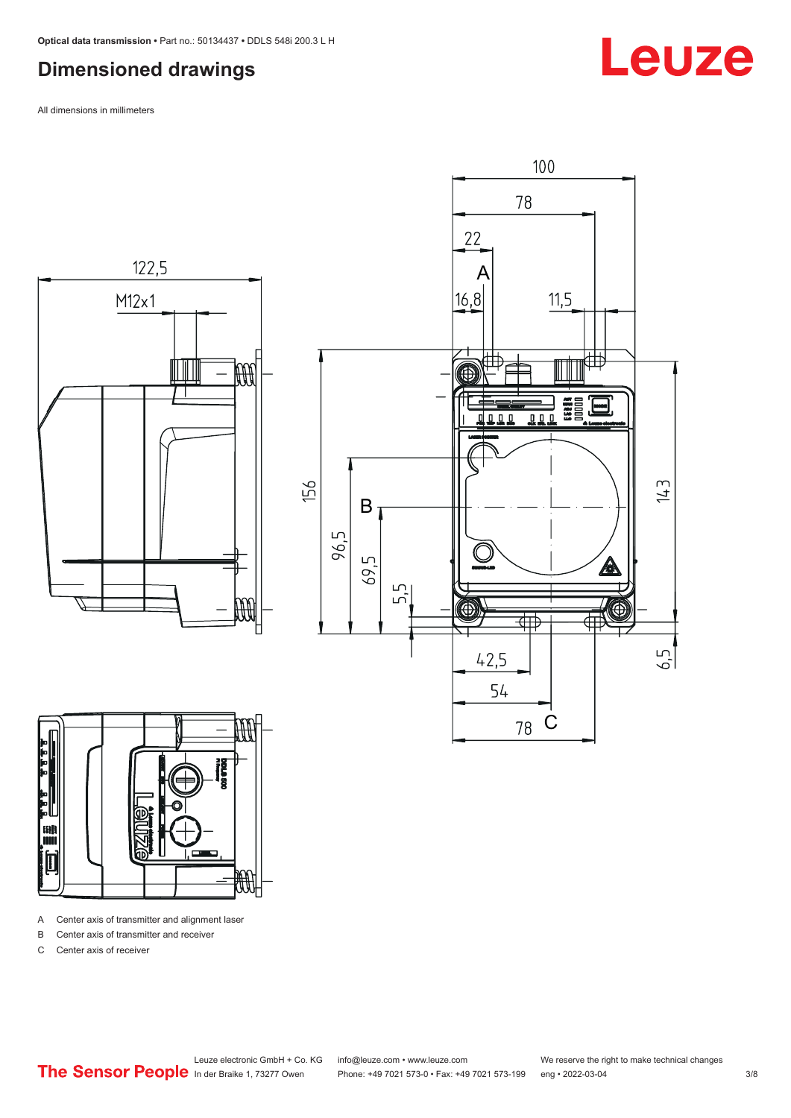#### <span id="page-2-0"></span>**Dimensioned drawings**

All dimensions in millimeters







A Center axis of transmitter and alignment laser

B Center axis of transmitter and receiver

C Center axis of receiver

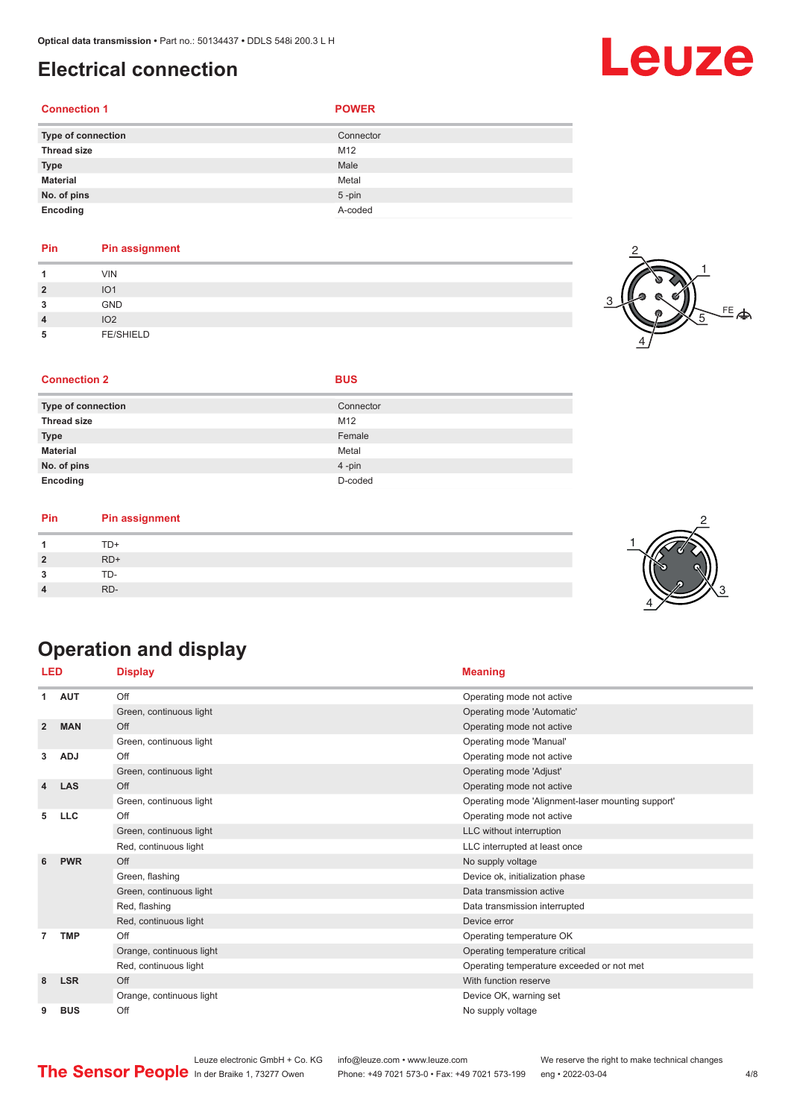#### <span id="page-3-0"></span>**Electrical connection**

#### **Connection 1 POWER**

| <b>Type of connection</b> | Connector |
|---------------------------|-----------|
| <b>Thread size</b>        | M12       |
| <b>Type</b>               | Male      |
| <b>Material</b>           | Metal     |
| No. of pins               | $5$ -pin  |
| Encoding                  | A-coded   |

#### **Pin Pin assignment**

|                | <b>VIN</b>       |
|----------------|------------------|
| $\overline{2}$ | IO <sub>1</sub>  |
| 3              | <b>GND</b>       |
| $\overline{4}$ | IO <sub>2</sub>  |
| 5              | <b>FE/SHIELD</b> |



#### **Type of connection** Connection Connector **Thread size** M12 **Type** Female **Material** Metal **No. of pins** 4 -pin

**Encoding** D-coded

**Connection 2 BUS** 

#### **Pin Pin assignment**

|           | TD+ |  |  |
|-----------|-----|--|--|
| ,         | RD+ |  |  |
| ໍາ<br>- 1 | TD- |  |  |
| 4         | RD- |  |  |

## 2 4 3

## **Operation and display**

| LED                     |            | <b>Display</b>           | <b>Meaning</b>                                    |
|-------------------------|------------|--------------------------|---------------------------------------------------|
| 1                       | <b>AUT</b> | Off                      | Operating mode not active                         |
|                         |            | Green, continuous light  | Operating mode 'Automatic'                        |
| $\overline{2}$          | <b>MAN</b> | Off                      | Operating mode not active                         |
|                         |            | Green, continuous light  | Operating mode 'Manual'                           |
| 3                       | <b>ADJ</b> | Off                      | Operating mode not active                         |
|                         |            | Green, continuous light  | Operating mode 'Adjust'                           |
| $\overline{\mathbf{4}}$ | <b>LAS</b> | Off                      | Operating mode not active                         |
|                         |            | Green, continuous light  | Operating mode 'Alignment-laser mounting support' |
| 5                       | <b>LLC</b> | Off                      | Operating mode not active                         |
|                         |            | Green, continuous light  | LLC without interruption                          |
|                         |            | Red, continuous light    | LLC interrupted at least once                     |
| 6                       | <b>PWR</b> | Off                      | No supply voltage                                 |
|                         |            | Green, flashing          | Device ok, initialization phase                   |
|                         |            | Green, continuous light  | Data transmission active                          |
|                         |            | Red, flashing            | Data transmission interrupted                     |
|                         |            | Red, continuous light    | Device error                                      |
|                         | <b>TMP</b> | Off                      | Operating temperature OK                          |
|                         |            | Orange, continuous light | Operating temperature critical                    |
|                         |            | Red, continuous light    | Operating temperature exceeded or not met         |
| 8                       | <b>LSR</b> | Off                      | With function reserve                             |
|                         |            | Orange, continuous light | Device OK, warning set                            |
| 9                       | <b>BUS</b> | Off                      | No supply voltage                                 |

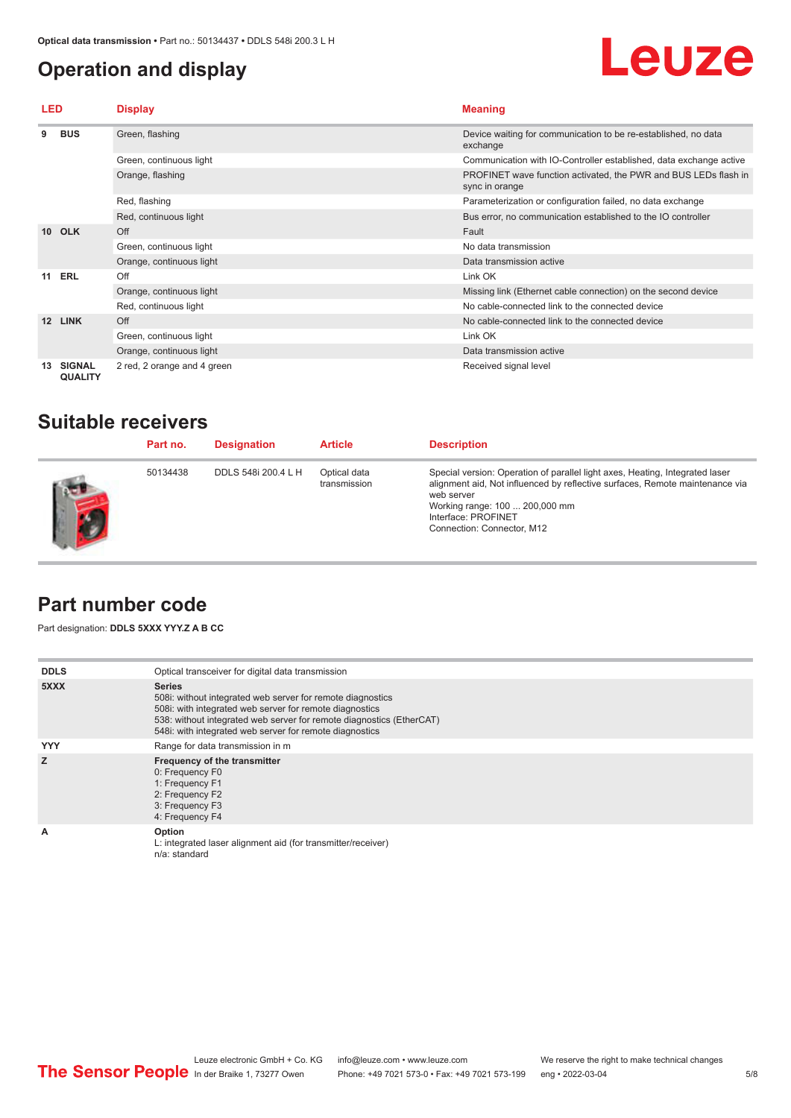### <span id="page-4-0"></span>**Operation and display**

# Leuze

| LED             |                                 | <b>Display</b>              | <b>Meaning</b>                                                                    |  |
|-----------------|---------------------------------|-----------------------------|-----------------------------------------------------------------------------------|--|
| 9               | <b>BUS</b>                      | Green, flashing             | Device waiting for communication to be re-established, no data<br>exchange        |  |
|                 |                                 | Green, continuous light     | Communication with IO-Controller established, data exchange active                |  |
|                 |                                 | Orange, flashing            | PROFINET wave function activated, the PWR and BUS LEDs flash in<br>sync in orange |  |
|                 |                                 | Red, flashing               | Parameterization or configuration failed, no data exchange                        |  |
|                 |                                 | Red, continuous light       | Bus error, no communication established to the IO controller                      |  |
|                 | 10 OLK                          | Off                         | Fault                                                                             |  |
|                 |                                 | Green, continuous light     | No data transmission                                                              |  |
|                 |                                 | Orange, continuous light    | Data transmission active                                                          |  |
| 11              | ERL                             | Off                         | Link OK                                                                           |  |
|                 |                                 | Orange, continuous light    | Missing link (Ethernet cable connection) on the second device                     |  |
|                 |                                 | Red, continuous light       | No cable-connected link to the connected device                                   |  |
| 12 <sup>1</sup> | <b>LINK</b>                     | Off                         | No cable-connected link to the connected device                                   |  |
|                 |                                 | Green, continuous light     | Link OK                                                                           |  |
|                 |                                 | Orange, continuous light    | Data transmission active                                                          |  |
| 13              | <b>SIGNAL</b><br><b>QUALITY</b> | 2 red, 2 orange and 4 green | Received signal level                                                             |  |

### **Suitable receivers**

| Part no. | <b>Designation</b>  | <b>Article</b>               | <b>Description</b>                                                                                                                                                                                                                                                |
|----------|---------------------|------------------------------|-------------------------------------------------------------------------------------------------------------------------------------------------------------------------------------------------------------------------------------------------------------------|
| 50134438 | DDLS 548i 200.4 L H | Optical data<br>transmission | Special version: Operation of parallel light axes, Heating, Integrated laser<br>alignment aid, Not influenced by reflective surfaces, Remote maintenance via<br>web server<br>Working range: 100  200,000 mm<br>Interface: PROFINET<br>Connection: Connector, M12 |

#### **Part number code**

Part designation: **DDLS 5XXX YYY.Z A B CC**

| <b>DDLS</b> | Optical transceiver for digital data transmission                                                                                                                                                                                                                         |
|-------------|---------------------------------------------------------------------------------------------------------------------------------------------------------------------------------------------------------------------------------------------------------------------------|
| 5XXX        | <b>Series</b><br>508i: without integrated web server for remote diagnostics<br>508i: with integrated web server for remote diagnostics<br>538: without integrated web server for remote diagnostics (EtherCAT)<br>548i: with integrated web server for remote diagnostics |
| <b>YYY</b>  | Range for data transmission in m                                                                                                                                                                                                                                          |
| z           | Frequency of the transmitter<br>0: Frequency F0<br>1: Frequency F1<br>2: Frequency F2<br>3: Frequency F3<br>4: Frequency F4                                                                                                                                               |
| A           | Option<br>L: integrated laser alignment aid (for transmitter/receiver)<br>n/a: standard                                                                                                                                                                                   |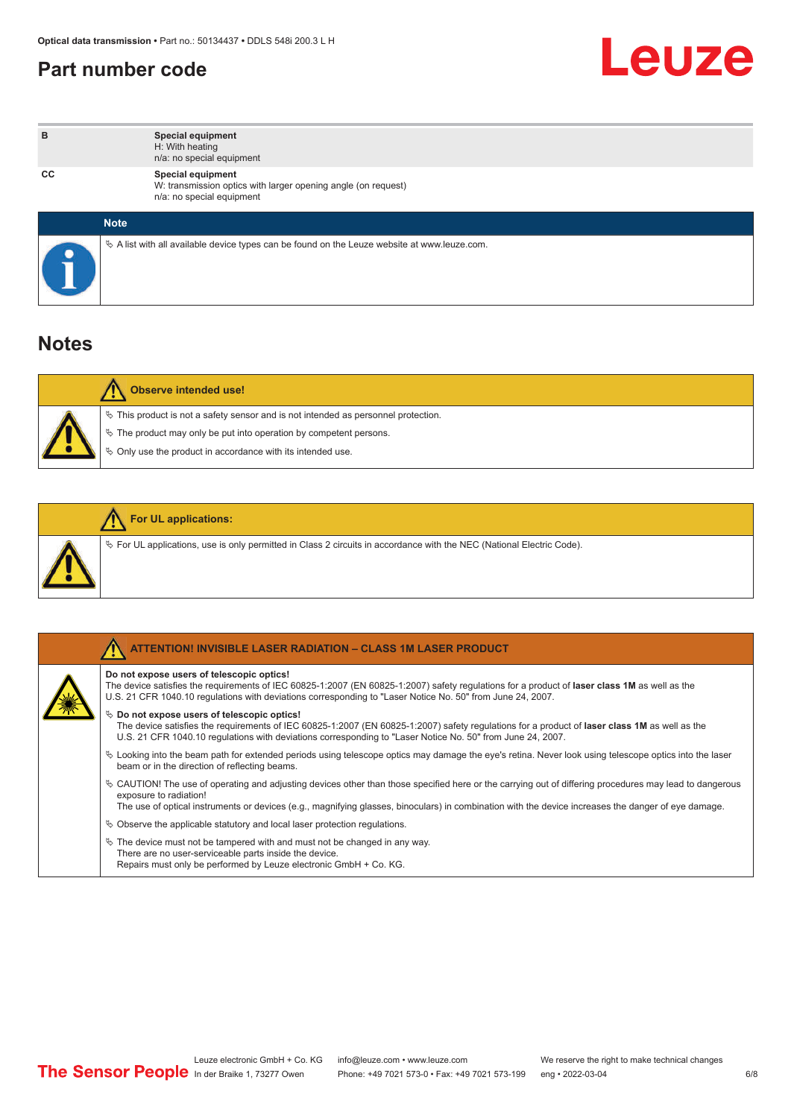#### <span id="page-5-0"></span>**Part number code**



| в  | <b>Special equipment</b><br>H: With heating<br>n/a: no special equipment                                        |
|----|-----------------------------------------------------------------------------------------------------------------|
| СC | Special equipment<br>W: transmission optics with larger opening angle (on request)<br>n/a: no special equipment |
|    | <b>Note</b>                                                                                                     |
|    | $\&$ A list with all available device types can be found on the Leuze website at www.leuze.com.                 |

### **Notes**

| Observe intended use!                                                                                                                                                                                                         |
|-------------------------------------------------------------------------------------------------------------------------------------------------------------------------------------------------------------------------------|
| $\%$ This product is not a safety sensor and is not intended as personnel protection.<br>$\&$ The product may only be put into operation by competent persons.<br>♦ Only use the product in accordance with its intended use. |

|  | <b>For UL applications:</b>                                                                                              |
|--|--------------------------------------------------------------------------------------------------------------------------|
|  | $\%$ For UL applications, use is only permitted in Class 2 circuits in accordance with the NEC (National Electric Code). |

| <b>ATTENTION! INVISIBLE LASER RADIATION - CLASS 1M LASER PRODUCT</b>                                                                                                                                                                                                                                                                        |
|---------------------------------------------------------------------------------------------------------------------------------------------------------------------------------------------------------------------------------------------------------------------------------------------------------------------------------------------|
| Do not expose users of telescopic optics!<br>The device satisfies the requirements of IEC 60825-1:2007 (EN 60825-1:2007) safety regulations for a product of laser class 1M as well as the<br>U.S. 21 CFR 1040.10 regulations with deviations corresponding to "Laser Notice No. 50" from June 24, 2007.                                    |
| $\%$ Do not expose users of telescopic optics!<br>The device satisfies the requirements of IEC 60825-1:2007 (EN 60825-1:2007) safety requlations for a product of laser class 1M as well as the<br>U.S. 21 CFR 1040.10 regulations with deviations corresponding to "Laser Notice No. 50" from June 24, 2007.                               |
| $\&$ Looking into the beam path for extended periods using telescope optics may damage the eye's retina. Never look using telescope optics into the laser<br>beam or in the direction of reflecting beams.                                                                                                                                  |
| $\&$ CAUTION! The use of operating and adjusting devices other than those specified here or the carrying out of differing procedures may lead to dangerous<br>exposure to radiation!<br>The use of optical instruments or devices (e.g., magnifying glasses, binoculars) in combination with the device increases the danger of eye damage. |
| $\%$ Observe the applicable statutory and local laser protection regulations.                                                                                                                                                                                                                                                               |
| $\%$ The device must not be tampered with and must not be changed in any way.<br>There are no user-serviceable parts inside the device.<br>Repairs must only be performed by Leuze electronic GmbH + Co. KG.                                                                                                                                |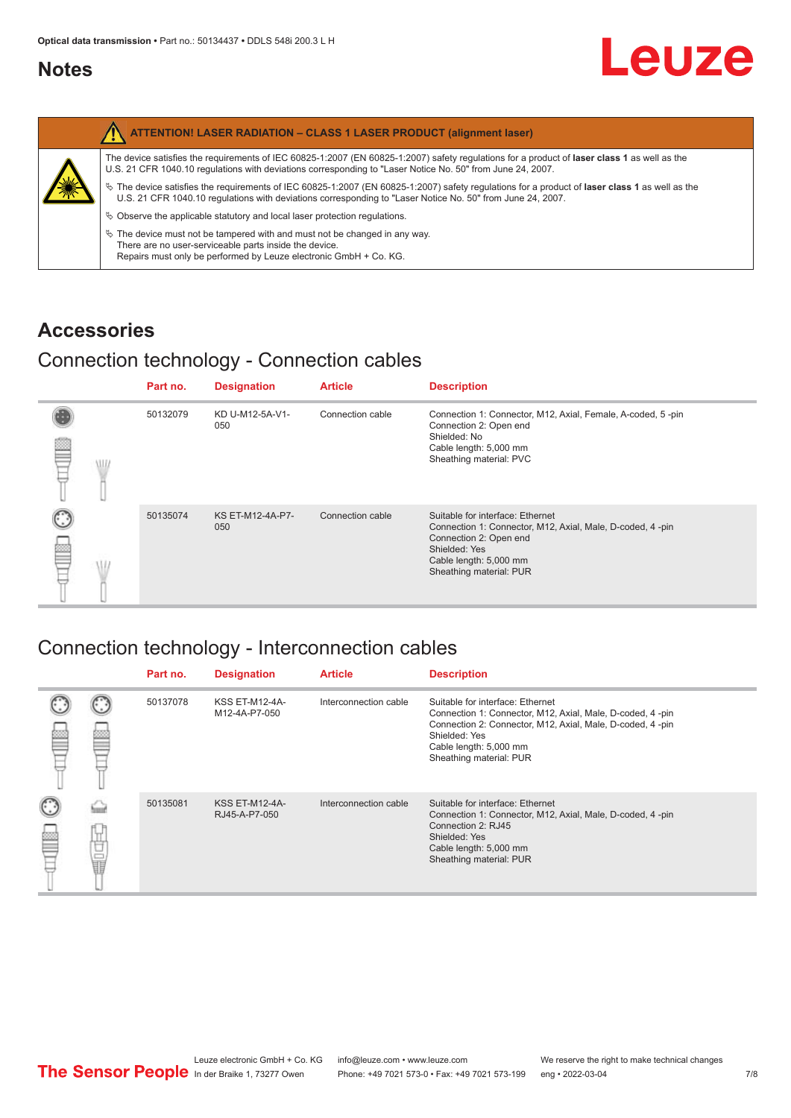#### <span id="page-6-0"></span>**Notes**

| <b>ATTENTION! LASER RADIATION - CLASS 1 LASER PRODUCT (alignment laser)</b>                                                                                                                                                                                     |
|-----------------------------------------------------------------------------------------------------------------------------------------------------------------------------------------------------------------------------------------------------------------|
| The device satisfies the requirements of IEC 60825-1:2007 (EN 60825-1:2007) safety regulations for a product of laser class 1 as well as the<br>U.S. 21 CFR 1040.10 regulations with deviations corresponding to "Laser Notice No. 50" from June 24, 2007.      |
| $\%$ The device satisfies the requirements of IEC 60825-1:2007 (EN 60825-1:2007) safety requlations for a product of laser class 1 as well as the<br>U.S. 21 CFR 1040.10 requlations with deviations corresponding to "Laser Notice No. 50" from June 24, 2007. |
| $\&$ Observe the applicable statutory and local laser protection requiations.                                                                                                                                                                                   |
| $\%$ The device must not be tampered with and must not be changed in any way.<br>There are no user-serviceable parts inside the device.<br>Repairs must only be performed by Leuze electronic GmbH + Co. KG.                                                    |

#### **Accessories**

### Connection technology - Connection cables

|   |     | Part no. | <b>Designation</b>             | <b>Article</b>   | <b>Description</b>                                                                                                                                                                            |
|---|-----|----------|--------------------------------|------------------|-----------------------------------------------------------------------------------------------------------------------------------------------------------------------------------------------|
| ▩ | \l. | 50132079 | KD U-M12-5A-V1-<br>050         | Connection cable | Connection 1: Connector, M12, Axial, Female, A-coded, 5-pin<br>Connection 2: Open end<br>Shielded: No<br>Cable length: 5,000 mm<br>Sheathing material: PVC                                    |
|   |     | 50135074 | <b>KS ET-M12-4A-P7-</b><br>050 | Connection cable | Suitable for interface: Ethernet<br>Connection 1: Connector, M12, Axial, Male, D-coded, 4-pin<br>Connection 2: Open end<br>Shielded: Yes<br>Cable length: 5,000 mm<br>Sheathing material: PUR |

## Connection technology - Interconnection cables

|         | Part no. | <b>Designation</b>                     | <b>Article</b>        | <b>Description</b>                                                                                                                                                                                                               |
|---------|----------|----------------------------------------|-----------------------|----------------------------------------------------------------------------------------------------------------------------------------------------------------------------------------------------------------------------------|
|         | 50137078 | <b>KSS ET-M12-4A-</b><br>M12-4A-P7-050 | Interconnection cable | Suitable for interface: Ethernet<br>Connection 1: Connector, M12, Axial, Male, D-coded, 4-pin<br>Connection 2: Connector, M12, Axial, Male, D-coded, 4-pin<br>Shielded: Yes<br>Cable length: 5,000 mm<br>Sheathing material: PUR |
| —<br>11 | 50135081 | <b>KSS ET-M12-4A-</b><br>RJ45-A-P7-050 | Interconnection cable | Suitable for interface: Ethernet<br>Connection 1: Connector, M12, Axial, Male, D-coded, 4-pin<br>Connection 2: RJ45<br>Shielded: Yes<br>Cable length: 5,000 mm<br>Sheathing material: PUR                                        |

Leuze